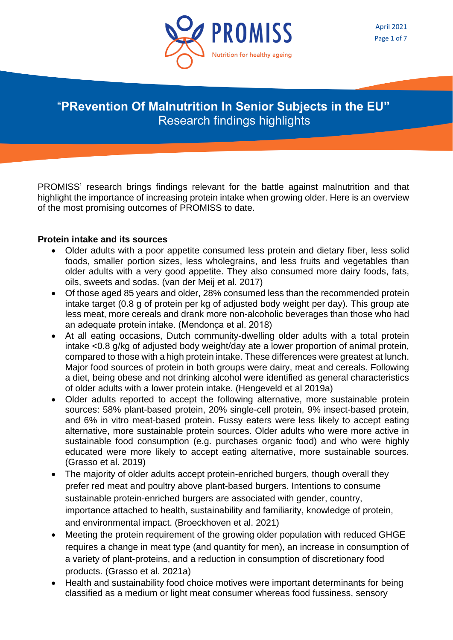

# "**PRevention Of Malnutrition In Senior Subjects in the EU"** Research findings highlights

PROMISS' research brings findings relevant for the battle against malnutrition and that highlight the importance of increasing protein intake when growing older. Here is an overview of the most promising outcomes of PROMISS to date.

## **Protein intake and its sources**

- Older adults with a poor appetite consumed less protein and dietary fiber, less solid foods, smaller portion sizes, less wholegrains, and less fruits and vegetables than older adults with a very good appetite. They also consumed more dairy foods, fats, oils, sweets and sodas. (van der Meij et al. 2017)
- Of those aged 85 years and older, 28% consumed less than the recommended protein intake target (0.8 g of protein per kg of adjusted body weight per day). This group ate less meat, more cereals and drank more non-alcoholic beverages than those who had an adequate protein intake. (Mendonça et al. 2018)
- At all eating occasions, Dutch community-dwelling older adults with a total protein intake <0.8 g/kg of adjusted body weight/day ate a lower proportion of animal protein, compared to those with a high protein intake. These differences were greatest at lunch. Major food sources of protein in both groups were dairy, meat and cereals. Following a diet, being obese and not drinking alcohol were identified as general characteristics of older adults with a lower protein intake. (Hengeveld et al 2019a)
- Older adults reported to accept the following alternative, more sustainable protein sources: 58% plant-based protein, 20% single-cell protein, 9% insect-based protein, and 6% in vitro meat-based protein. Fussy eaters were less likely to accept eating alternative, more sustainable protein sources. Older adults who were more active in sustainable food consumption (e.g. purchases organic food) and who were highly educated were more likely to accept eating alternative, more sustainable sources. (Grasso et al. 2019)
- The majority of older adults accept protein-enriched burgers, though overall they prefer red meat and poultry above plant-based burgers. Intentions to consume sustainable protein-enriched burgers are associated with gender, country, importance attached to health, sustainability and familiarity, knowledge of protein, and environmental impact. (Broeckhoven et al. 2021)
- Meeting the protein requirement of the growing older population with reduced GHGE requires a change in meat type (and quantity for men), an increase in consumption of a variety of plant-proteins, and a reduction in consumption of discretionary food products. (Grasso et al. 2021a)
- Health and sustainability food choice motives were important determinants for being classified as a medium or light meat consumer whereas food fussiness, sensory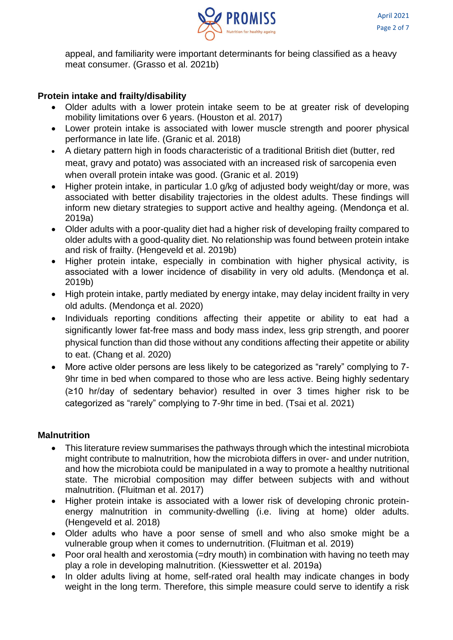

appeal, and familiarity were important determinants for being classified as a heavy meat consumer. (Grasso et al. 2021b)

# **Protein intake and frailty/disability**

- Older adults with a lower protein intake seem to be at greater risk of developing mobility limitations over 6 years. (Houston et al. 2017)
- Lower protein intake is associated with lower muscle strength and poorer physical performance in late life. (Granic et al. 2018)
- A dietary pattern high in foods characteristic of a traditional British diet (butter, red meat, gravy and potato) was associated with an increased risk of sarcopenia even when overall protein intake was good. (Granic et al. 2019)
- Higher protein intake, in particular 1.0 g/kg of adjusted body weight/day or more, was associated with better disability trajectories in the oldest adults. These findings will inform new dietary strategies to support active and healthy ageing. (Mendonça et al. 2019a)
- Older adults with a poor-quality diet had a higher risk of developing frailty compared to older adults with a good-quality diet. No relationship was found between protein intake and risk of frailty. (Hengeveld et al. 2019b)
- Higher protein intake, especially in combination with higher physical activity, is associated with a lower incidence of disability in very old adults. (Mendonca et al. 2019b)
- High protein intake, partly mediated by energy intake, may delay incident frailty in very old adults. (Mendonça et al. 2020)
- Individuals reporting conditions affecting their appetite or ability to eat had a significantly lower fat-free mass and body mass index, less grip strength, and poorer physical function than did those without any conditions affecting their appetite or ability to eat. (Chang et al. 2020)
- More active older persons are less likely to be categorized as "rarely" complying to 7- 9hr time in bed when compared to those who are less active. Being highly sedentary (≥10 hr/day of sedentary behavior) resulted in over 3 times higher risk to be categorized as "rarely" complying to 7-9hr time in bed. (Tsai et al. 2021)

#### **Malnutrition**

- This literature review summarises the pathways through which the intestinal microbiota might contribute to malnutrition, how the microbiota differs in over- and under nutrition, and how the microbiota could be manipulated in a way to promote a healthy nutritional state. The microbial composition may differ between subjects with and without malnutrition. (Fluitman et al. 2017)
- Higher protein intake is associated with a lower risk of developing chronic proteinenergy malnutrition in community-dwelling (i.e. living at home) older adults. (Hengeveld et al. 2018)
- Older adults who have a poor sense of smell and who also smoke might be a vulnerable group when it comes to undernutrition. (Fluitman et al. 2019)
- Poor oral health and xerostomia (=dry mouth) in combination with having no teeth may play a role in developing malnutrition. (Kiesswetter et al. 2019a)
- In older adults living at home, self-rated oral health may indicate changes in body weight in the long term. Therefore, this simple measure could serve to identify a risk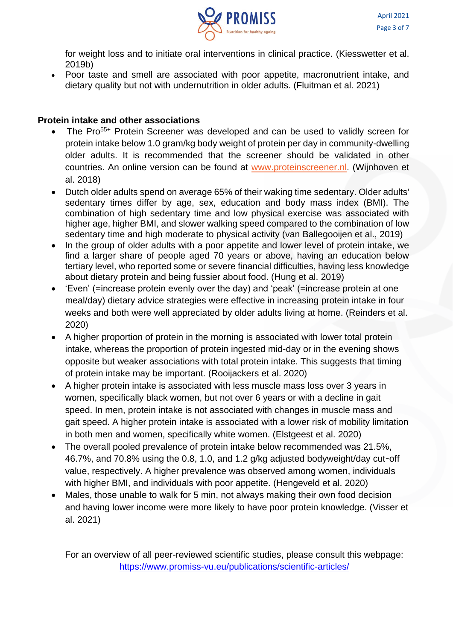

for weight loss and to initiate oral interventions in clinical practice. (Kiesswetter et al. 2019b)

• Poor taste and smell are associated with poor appetite, macronutrient intake, and dietary quality but not with undernutrition in older adults. (Fluitman et al. 2021)

## **Protein intake and other associations**

- The Pro<sup>55+</sup> Protein Screener was developed and can be used to validly screen for protein intake below 1.0 gram/kg body weight of protein per day in community-dwelling older adults. It is recommended that the screener should be validated in other countries. An online version can be found at [www.proteinscreener.nl.](http://www.proteinscreener.nl/) (Wijnhoven et al. 2018)
- Dutch older adults spend on average 65% of their waking time sedentary. Older adults' sedentary times differ by age, sex, education and body mass index (BMI). The combination of high sedentary time and low physical exercise was associated with higher age, higher BMI, and slower walking speed compared to the combination of low sedentary time and high moderate to physical activity (van Ballegooijen et al., 2019)
- In the group of older adults with a poor appetite and lower level of protein intake, we find a larger share of people aged 70 years or above, having an education below tertiary level, who reported some or severe financial difficulties, having less knowledge about dietary protein and being fussier about food. (Hung et al. 2019)
- 'Even' (=increase protein evenly over the day) and 'peak' (=increase protein at one meal/day) dietary advice strategies were effective in increasing protein intake in four weeks and both were well appreciated by older adults living at home. (Reinders et al. 2020)
- A higher proportion of protein in the morning is associated with lower total protein intake, whereas the proportion of protein ingested mid-day or in the evening shows opposite but weaker associations with total protein intake. This suggests that timing of protein intake may be important. (Rooijackers et al. 2020)
- A higher protein intake is associated with less muscle mass loss over 3 years in women, specifically black women, but not over 6 years or with a decline in gait speed. In men, protein intake is not associated with changes in muscle mass and gait speed. A higher protein intake is associated with a lower risk of mobility limitation in both men and women, specifically white women. (Elstgeest et al. 2020)
- The overall pooled prevalence of protein intake below recommended was 21.5%, 46.7%, and 70.8% using the 0.8, 1.0, and 1.2 g/kg adjusted bodyweight/day cut‐off value, respectively. A higher prevalence was observed among women, individuals with higher BMI, and individuals with poor appetite. (Hengeveld et al. 2020)
- Males, those unable to walk for 5 min, not always making their own food decision and having lower income were more likely to have poor protein knowledge. (Visser et al. 2021)

For an overview of all peer-reviewed scientific studies, please consult this webpage: <https://www.promiss-vu.eu/publications/scientific-articles/>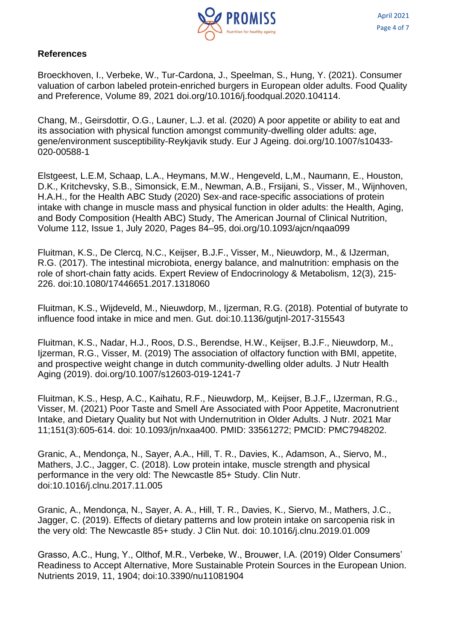

#### **References**

Broeckhoven, I., Verbeke, W., Tur-Cardona, J., Speelman, S., Hung, Y. (2021). Consumer valuation of carbon labeled protein-enriched burgers in European older adults. Food Quality and Preference, Volume 89, 2021 doi.org/10.1016/j.foodqual.2020.104114.

Chang, M., Geirsdottir, O.G., Launer, L.J. et al. (2020) A poor appetite or ability to eat and its association with physical function amongst community-dwelling older adults: age, gene/environment susceptibility-Reykjavik study. Eur J Ageing. doi.org/10.1007/s10433- 020-00588-1

Elstgeest, L.E.M, Schaap, L.A., Heymans, M.W., Hengeveld, L,M., Naumann, E., Houston, D.K., Kritchevsky, S.B., Simonsick, E.M., Newman, A.B., Frsijani, S., Visser, M., Wijnhoven, H.A.H., for the Health ABC Study (2020) Sex-and race-specific associations of protein intake with change in muscle mass and physical function in older adults: the Health, Aging, and Body Composition (Health ABC) Study, The American Journal of Clinical Nutrition, Volume 112, Issue 1, July 2020, Pages 84–95, doi.org/10.1093/ajcn/nqaa099

Fluitman, K.S., De Clercq, N.C., Keijser, B.J.F., Visser, M., Nieuwdorp, M., & IJzerman, R.G. (2017). The intestinal microbiota, energy balance, and malnutrition: emphasis on the role of short-chain fatty acids. Expert Review of Endocrinology & Metabolism, 12(3), 215- 226. doi:10.1080/17446651.2017.1318060

Fluitman, K.S., Wijdeveld, M., Nieuwdorp, M., Ijzerman, R.G. (2018). Potential of butyrate to influence food intake in mice and men. Gut. doi:10.1136/gutjnl-2017-315543

Fluitman, K.S., Nadar, H.J., Roos, D.S., Berendse, H.W., Keijser, B.J.F., Nieuwdorp, M., Ijzerman, R.G., Visser, M. (2019) The association of olfactory function with BMI, appetite, and prospective weight change in dutch community-dwelling older adults. J Nutr Health Aging (2019). doi.org/10.1007/s12603-019-1241-7

Fluitman, K.S., Hesp, A.C., Kaihatu, R.F., Nieuwdorp, M,. Keijser, B.J.F,, IJzerman, R.G., Visser, M. (2021) Poor Taste and Smell Are Associated with Poor Appetite, Macronutrient Intake, and Dietary Quality but Not with Undernutrition in Older Adults. J Nutr. 2021 Mar 11;151(3):605-614. doi: 10.1093/jn/nxaa400. PMID: 33561272; PMCID: PMC7948202.

Granic, A., Mendonca, N., Sayer, A.A., Hill, T. R., Davies, K., Adamson, A., Siervo, M., Mathers, J.C., Jagger, C. (2018). Low protein intake, muscle strength and physical performance in the very old: The Newcastle 85+ Study. Clin Nutr. doi:10.1016/j.clnu.2017.11.005

Granic, A., Mendonça, N., Sayer, A. A., Hill, T. R., Davies, K., Siervo, M., Mathers, J.C., Jagger, C. (2019). Effects of dietary patterns and low protein intake on sarcopenia risk in the very old: The Newcastle 85+ study. J Clin Nut. doi: 10.1016/j.clnu.2019.01.009

Grasso, A.C., Hung, Y., Olthof, M.R., Verbeke, W., Brouwer, I.A. (2019) Older Consumers' Readiness to Accept Alternative, More Sustainable Protein Sources in the European Union. Nutrients 2019, 11, 1904; doi:10.3390/nu11081904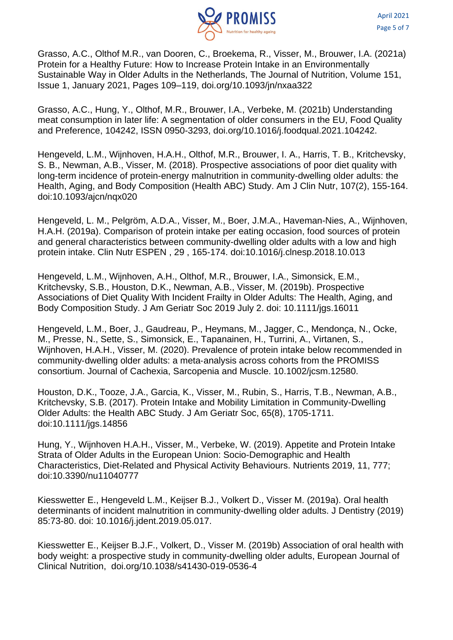

Grasso, A.C., Olthof M.R., van Dooren, C., Broekema, R., Visser, M., Brouwer, I.A. (2021a) Protein for a Healthy Future: How to Increase Protein Intake in an Environmentally Sustainable Way in Older Adults in the Netherlands, The Journal of Nutrition, Volume 151, Issue 1, January 2021, Pages 109–119, doi.org/10.1093/jn/nxaa322

Grasso, A.C., Hung, Y., Olthof, M.R., Brouwer, I.A., Verbeke, M. (2021b) Understanding meat consumption in later life: A segmentation of older consumers in the EU, Food Quality and Preference, 104242, ISSN 0950-3293, doi.org/10.1016/j.foodqual.2021.104242.

Hengeveld, L.M., Wijnhoven, H.A.H., Olthof, M.R., Brouwer, I. A., Harris, T. B., Kritchevsky, S. B., Newman, A.B., Visser, M. (2018). Prospective associations of poor diet quality with long-term incidence of protein-energy malnutrition in community-dwelling older adults: the Health, Aging, and Body Composition (Health ABC) Study. Am J Clin Nutr, 107(2), 155-164. doi:10.1093/ajcn/nqx020

Hengeveld, L. M., Pelgröm, A.D.A., Visser, M., Boer, J.M.A., Haveman-Nies, A., Wijnhoven, H.A.H. (2019a). Comparison of protein intake per eating occasion, food sources of protein and general characteristics between community-dwelling older adults with a low and high protein intake. Clin Nutr ESPEN , 29 , 165-174. doi:10.1016/j.clnesp.2018.10.013

Hengeveld, L.M., Wijnhoven, A.H., Olthof, M.R., Brouwer, I.A., Simonsick, E.M., Kritchevsky, S.B., Houston, D.K., Newman, A.B., Visser, M. (2019b). Prospective Associations of Diet Quality With Incident Frailty in Older Adults: The Health, Aging, and Body Composition Study. J Am Geriatr Soc 2019 July 2. doi: 10.1111/jgs.16011

Hengeveld, L.M., Boer, J., Gaudreau, P., Heymans, M., Jagger, C., Mendonça, N., Ocke, M., Presse, N., Sette, S., Simonsick, E., Tapanainen, H., Turrini, A., Virtanen, S., Wijnhoven, H.A.H., Visser, M. (2020). Prevalence of protein intake below recommended in community‐dwelling older adults: a meta‐analysis across cohorts from the PROMISS consortium. Journal of Cachexia, Sarcopenia and Muscle. 10.1002/jcsm.12580.

Houston, D.K., Tooze, J.A., Garcia, K., Visser, M., Rubin, S., Harris, T.B., Newman, A.B., Kritchevsky, S.B. (2017). Protein Intake and Mobility Limitation in Community-Dwelling Older Adults: the Health ABC Study. J Am Geriatr Soc, 65(8), 1705-1711. doi:10.1111/jgs.14856

Hung, Y., Wijnhoven H.A.H., Visser, M., Verbeke, W. (2019). Appetite and Protein Intake Strata of Older Adults in the European Union: Socio-Demographic and Health Characteristics, Diet-Related and Physical Activity Behaviours. Nutrients 2019, 11, 777; doi:10.3390/nu11040777

Kiesswetter E., Hengeveld L.M., Keijser B.J., Volkert D., Visser M. (2019a). Oral health determinants of incident malnutrition in community-dwelling older adults. J Dentistry (2019) 85:73-80. doi: 10.1016/j.jdent.2019.05.017.

Kiesswetter E., Keijser B.J.F., Volkert, D., Visser M. (2019b) Association of oral health with body weight: a prospective study in community-dwelling older adults, European Journal of Clinical Nutrition, doi.org/10.1038/s41430-019-0536-4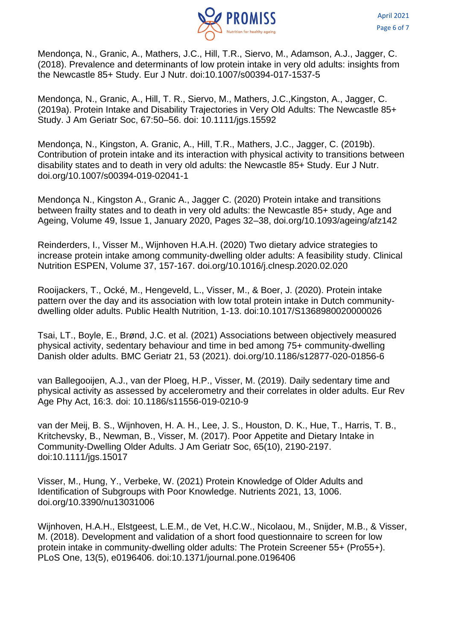

Mendonça, N., Granic, A., Mathers, J.C., Hill, T.R., Siervo, M., Adamson, A.J., Jagger, C. (2018). Prevalence and determinants of low protein intake in very old adults: insights from the Newcastle 85+ Study. Eur J Nutr. doi:10.1007/s00394-017-1537-5

Mendonça, N., Granic, A., Hill, T. R., Siervo, M., Mathers, J.C., Kingston, A., Jagger, C. (2019a). Protein Intake and Disability Trajectories in Very Old Adults: The Newcastle 85+ Study. J Am Geriatr Soc, 67:50–56. doi: 10.1111/jgs.15592

Mendonça, N., Kingston, A. Granic, A., Hill, T.R., Mathers, J.C., Jagger, C. (2019b). Contribution of protein intake and its interaction with physical activity to transitions between disability states and to death in very old adults: the Newcastle 85+ Study. Eur J Nutr. doi.org/10.1007/s00394-019-02041-1

Mendonça N., Kingston A., Granic A., Jagger C. (2020) Protein intake and transitions between frailty states and to death in very old adults: the Newcastle 85+ study, Age and Ageing, Volume 49, Issue 1, January 2020, Pages 32–38, doi.org/10.1093/ageing/afz142

Reinderders, I., Visser M., Wijnhoven H.A.H. (2020) Two dietary advice strategies to increase protein intake among community-dwelling older adults: A feasibility study. Clinical Nutrition ESPEN, Volume 37, 157-167. doi.org/10.1016/j.clnesp.2020.02.020

Rooijackers, T., Ocké, M., Hengeveld, L., Visser, M., & Boer, J. (2020). Protein intake pattern over the day and its association with low total protein intake in Dutch communitydwelling older adults. Public Health Nutrition, 1-13. doi:10.1017/S1368980020000026

Tsai, LT., Boyle, E., Brønd, J.C. et al. (2021) Associations between objectively measured physical activity, sedentary behaviour and time in bed among 75+ community-dwelling Danish older adults. BMC Geriatr 21, 53 (2021). doi.org/10.1186/s12877-020-01856-6

van Ballegooijen, A.J., van der Ploeg, H.P., Visser, M. (2019). Daily sedentary time and physical activity as assessed by accelerometry and their correlates in older adults. Eur Rev Age Phy Act, 16:3. doi: 10.1186/s11556-019-0210-9

van der Meij, B. S., Wijnhoven, H. A. H., Lee, J. S., Houston, D. K., Hue, T., Harris, T. B., Kritchevsky, B., Newman, B., Visser, M. (2017). Poor Appetite and Dietary Intake in Community-Dwelling Older Adults. J Am Geriatr Soc, 65(10), 2190-2197. doi:10.1111/jgs.15017

Visser, M., Hung, Y., Verbeke, W. (2021) Protein Knowledge of Older Adults and Identification of Subgroups with Poor Knowledge. Nutrients 2021, 13, 1006. doi.org/10.3390/nu13031006

Wijnhoven, H.A.H., Elstgeest, L.E.M., de Vet, H.C.W., Nicolaou, M., Snijder, M.B., & Visser, M. (2018). Development and validation of a short food questionnaire to screen for low protein intake in community-dwelling older adults: The Protein Screener 55+ (Pro55+). PLoS One, 13(5), e0196406. doi:10.1371/journal.pone.0196406